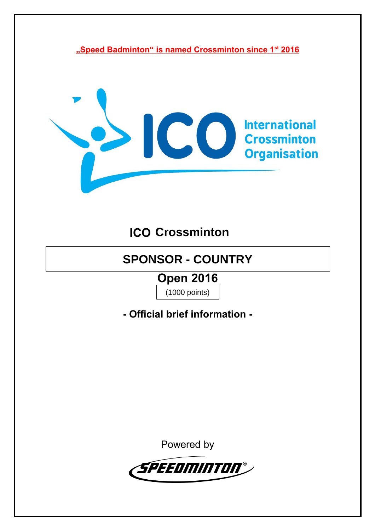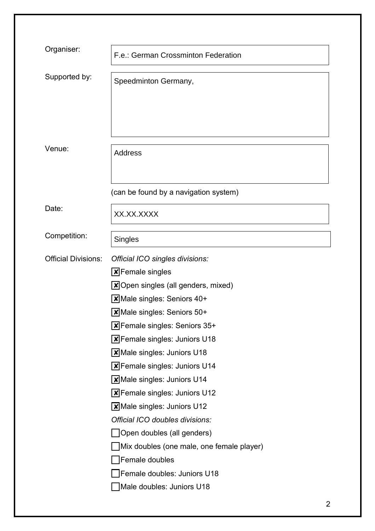| Organiser:                 | F.e.: German Crossminton Federation           |
|----------------------------|-----------------------------------------------|
| Supported by:              | Speedminton Germany,                          |
| Venue:                     | <b>Address</b>                                |
|                            | (can be found by a navigation system)         |
| Date:                      | XX.XX.XXXX                                    |
| Competition:               | <b>Singles</b>                                |
| <b>Official Divisions:</b> | Official ICO singles divisions:               |
|                            | $\boxtimes$ Female singles                    |
|                            | $\boxtimes$ Open singles (all genders, mixed) |
|                            | Male singles: Seniors 40+                     |
|                            | $\boxtimes$ Male singles: Seniors 50+         |
|                            | $\boxtimes$ Female singles: Seniors 35+       |
|                            | $\boxtimes$ Female singles: Juniors U18       |
|                            | $\boxtimes$ Male singles: Juniors U18         |
|                            | $\boxtimes$ Female singles: Juniors U14       |
|                            | $\boxtimes$ Male singles: Juniors U14         |
|                            | $\boxtimes$ Female singles: Juniors U12       |
|                            | $\boxtimes$ Male singles: Juniors U12         |
|                            | Official ICO doubles divisions:               |
|                            | Open doubles (all genders)                    |
|                            | Mix doubles (one male, one female player)     |
|                            | Female doubles                                |
|                            | Female doubles: Juniors U18                   |
|                            | Male doubles: Juniors U18                     |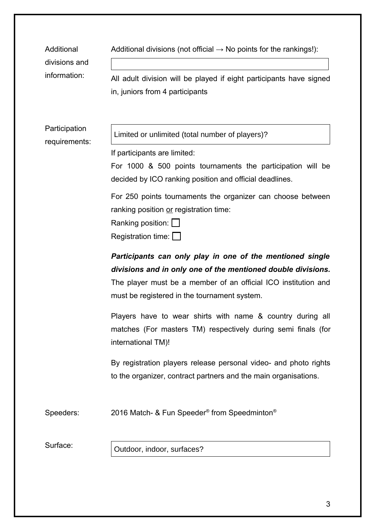| Additional<br>divisions and<br>information: | Additional divisions (not official $\rightarrow$ No points for the rankings!):<br>All adult division will be played if eight participants have signed<br>in, juniors from 4 participants                                                                                                                                                                                                                                                                                                                                                                                                                                                                                                                                                                                                                                                                                                                          |
|---------------------------------------------|-------------------------------------------------------------------------------------------------------------------------------------------------------------------------------------------------------------------------------------------------------------------------------------------------------------------------------------------------------------------------------------------------------------------------------------------------------------------------------------------------------------------------------------------------------------------------------------------------------------------------------------------------------------------------------------------------------------------------------------------------------------------------------------------------------------------------------------------------------------------------------------------------------------------|
| Participation<br>requirements:              | Limited or unlimited (total number of players)?<br>If participants are limited:<br>For 1000 & 500 points tournaments the participation will be<br>decided by ICO ranking position and official deadlines.<br>For 250 points tournaments the organizer can choose between<br>ranking position or registration time:<br>Ranking position:  <br>Registration time: $\Box$<br>Participants can only play in one of the mentioned single<br>divisions and in only one of the mentioned double divisions.<br>The player must be a member of an official ICO institution and<br>must be registered in the tournament system.<br>Players have to wear shirts with name & country during all<br>matches (For masters TM) respectively during semi finals (for<br>international TM)!<br>By registration players release personal video- and photo rights<br>to the organizer, contract partners and the main organisations. |
| Speeders:                                   | 2016 Match- & Fun Speeder <sup>®</sup> from Speedminton <sup>®</sup>                                                                                                                                                                                                                                                                                                                                                                                                                                                                                                                                                                                                                                                                                                                                                                                                                                              |
| Surface:                                    | Outdoor, indoor, surfaces?                                                                                                                                                                                                                                                                                                                                                                                                                                                                                                                                                                                                                                                                                                                                                                                                                                                                                        |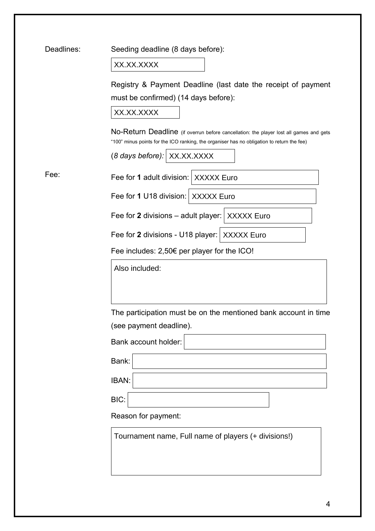| Deadlines: | Seeding deadline (8 days before):                                                                                                                                                                                   |
|------------|---------------------------------------------------------------------------------------------------------------------------------------------------------------------------------------------------------------------|
|            | XX.XX.XXXX                                                                                                                                                                                                          |
|            | Registry & Payment Deadline (last date the receipt of payment<br>must be confirmed) (14 days before):<br>XX.XX.XXXX                                                                                                 |
|            | No-Return Deadline (if overrun before cancellation: the player lost all games and gets<br>"100" minus points for the ICO ranking, the organiser has no obligation to return the fee)<br>(8 days before): XX.XX.XXXX |
| Fee:       | Fee for 1 adult division: XXXXX Euro                                                                                                                                                                                |
|            | Fee for 1 U18 division: XXXXX Euro                                                                                                                                                                                  |
|            | Fee for 2 divisions – adult player: $ $ XXXXX Euro                                                                                                                                                                  |
|            | Fee for 2 divisions - U18 player: XXXXX Euro                                                                                                                                                                        |
|            | Fee includes: 2,50€ per player for the ICO!                                                                                                                                                                         |
|            | Also included:                                                                                                                                                                                                      |
|            | The participation must be on the mentioned bank account in time                                                                                                                                                     |
|            | (see payment deadline).                                                                                                                                                                                             |
|            | Bank account holder:                                                                                                                                                                                                |
|            | Bank:                                                                                                                                                                                                               |
|            | IBAN:                                                                                                                                                                                                               |
|            | BIC:                                                                                                                                                                                                                |
|            | Reason for payment:                                                                                                                                                                                                 |
|            | Tournament name, Full name of players (+ divisions!)                                                                                                                                                                |
|            |                                                                                                                                                                                                                     |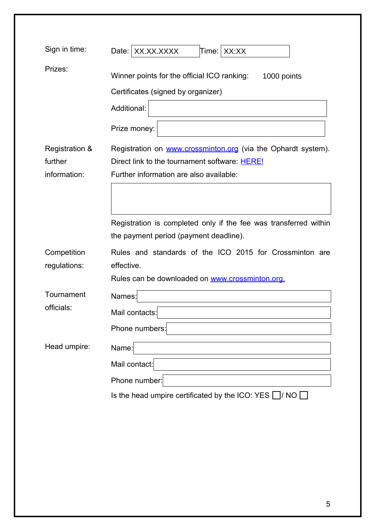| Sign in time:                             | XX.XX.XXXX<br>Time: XX:XX<br>Date:                                                                                                                        |
|-------------------------------------------|-----------------------------------------------------------------------------------------------------------------------------------------------------------|
| Prizes:                                   | Winner points for the official ICO ranking: 1000 points<br>Certificates (signed by organizer)<br>Additional:<br>Prize money:                              |
| Registration &<br>further<br>information: | Registration on www.crossminton.org (via the Ophardt system).<br>Direct link to the tournament software: HERE!<br>Further information are also available: |
|                                           | Registration is completed only if the fee was transferred within<br>the payment period (payment deadline).                                                |
| Competition<br>regulations:               | Rules and standards of the ICO 2015 for Crossminton are<br>effective.<br>Rules can be downloaded on www.crossminton.org.                                  |
| Tournament<br>officials:                  | Names:<br>Mail contacts:<br>Phone numbers:                                                                                                                |
| Head umpire:                              | Name:<br>Mail contact:<br>Phone number:<br>Is the head umpire certificated by the ICO: YES $\Box$ / NO $\Box$                                             |